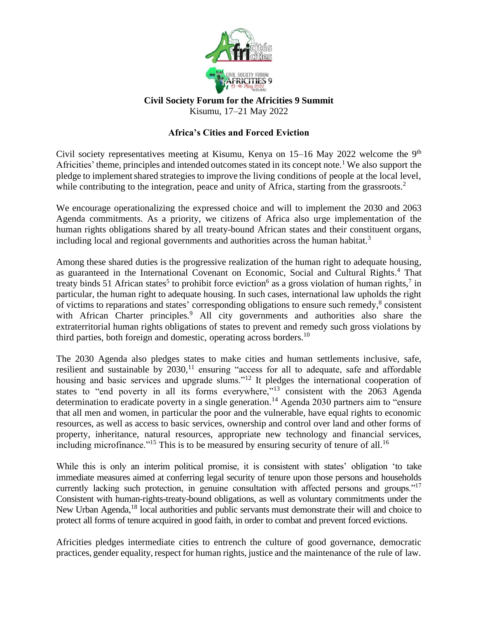

## **Civil Society Forum for the Africities 9 Summit** Kisumu, 17–21 May 2022

## **Africa's Cities and Forced Eviction**

Civil society representatives meeting at Kisumu, Kenya on  $15-16$  May 2022 welcome the 9<sup>th</sup> Africities' theme, principles and intended outcomes stated in its concept note.<sup>1</sup> We also support the pledge to implement shared strategies to improve the living conditions of people at the local level, while contributing to the integration, peace and unity of Africa, starting from the grassroots.<sup>2</sup>

We encourage operationalizing the expressed choice and will to implement the 2030 and 2063 Agenda commitments. As a priority, we citizens of Africa also urge implementation of the human rights obligations shared by all treaty-bound African states and their constituent organs, including local and regional governments and authorities across the human habitat.<sup>3</sup>

Among these shared duties is the progressive realization of the human right to adequate housing, as guaranteed in the International Covenant on Economic, Social and Cultural Rights. <sup>4</sup> That treaty binds 51 African states<sup>5</sup> to prohibit force eviction<sup>6</sup> as a gross violation of human rights,<sup>7</sup> in particular, the human right to adequate housing. In such cases, international law upholds the right of victims to reparations and states' corresponding obligations to ensure such remedy,<sup>8</sup> consistent with African Charter principles.<sup>9</sup> All city governments and authorities also share the extraterritorial human rights obligations of states to prevent and remedy such gross violations by third parties, both foreign and domestic, operating across borders.<sup>10</sup>

The 2030 Agenda also pledges states to make cities and human settlements inclusive, safe, resilient and sustainable by  $2030$ ,<sup>11</sup> ensuring "access for all to adequate, safe and affordable housing and basic services and upgrade slums."<sup>12</sup> It pledges the international cooperation of states to "end poverty in all its forms everywhere,"<sup>13</sup> consistent with the 2063 Agenda determination to eradicate poverty in a single generation. <sup>14</sup> Agenda 2030 partners aim to "ensure that all men and women, in particular the poor and the vulnerable, have equal rights to economic resources, as well as access to basic services, ownership and control over land and other forms of property, inheritance, natural resources, appropriate new technology and financial services, including microfinance."<sup>15</sup> This is to be measured by ensuring security of tenure of all.<sup>16</sup>

While this is only an interim political promise, it is consistent with states' obligation 'to take immediate measures aimed at conferring legal security of tenure upon those persons and households currently lacking such protection, in genuine consultation with affected persons and groups."<sup>17</sup> Consistent with human-rights-treaty-bound obligations, as well as voluntary commitments under the New Urban Agenda,<sup>18</sup> local authorities and public servants must demonstrate their will and choice to protect all forms of tenure acquired in good faith, in order to combat and prevent forced evictions.

Africities pledges intermediate cities to entrench the culture of good governance, democratic practices, gender equality, respect for human rights, justice and the maintenance of the rule of law.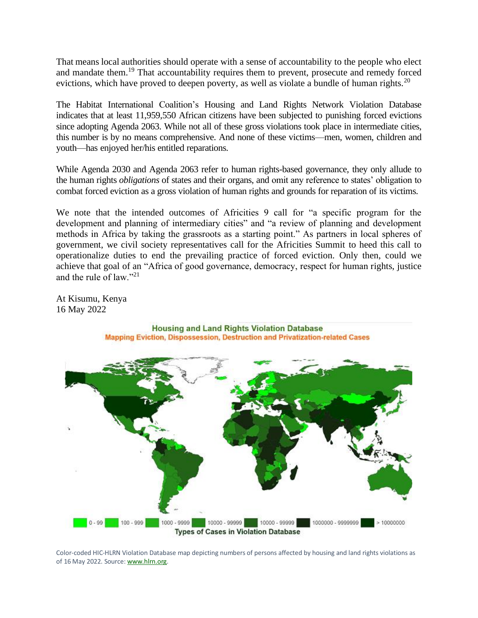That means local authorities should operate with a sense of accountability to the people who elect and mandate them.<sup>19</sup> That accountability requires them to prevent, prosecute and remedy forced evictions, which have proved to deepen poverty, as well as violate a bundle of human rights.<sup>20</sup>

The Habitat International Coalition's Housing and Land Rights Network Violation Database indicates that at least 11,959,550 African citizens have been subjected to punishing forced evictions since adopting Agenda 2063. While not all of these gross violations took place in intermediate cities, this number is by no means comprehensive. And none of these victims—men, women, children and youth—has enjoyed her/his entitled reparations.

While Agenda 2030 and Agenda 2063 refer to human rights-based governance, they only allude to the human rights *obligations* of states and their organs, and omit any reference to states' obligation to combat forced eviction as a gross violation of human rights and grounds for reparation of its victims.

We note that the intended outcomes of Africities 9 call for "a specific program for the development and planning of intermediary cities" and "a review of planning and development methods in Africa by taking the grassroots as a starting point." As partners in local spheres of government, we civil society representatives call for the Africities Summit to heed this call to operationalize duties to end the prevailing practice of forced eviction. Only then, could we achieve that goal of an "Africa of good governance, democracy, respect for human rights, justice and the rule of law." $^{21}$ 

At Kisumu, Kenya 16 May 2022



**Housing and Land Rights Violation Database** Mapping Eviction, Dispossession, Destruction and Privatization-related Cases

Color-coded HIC-HLRN Violation Database map depicting numbers of persons affected by housing and land rights violations as of 16 May 2022. Source[: www.hlrn.org.](http://www.hlrn.org/)